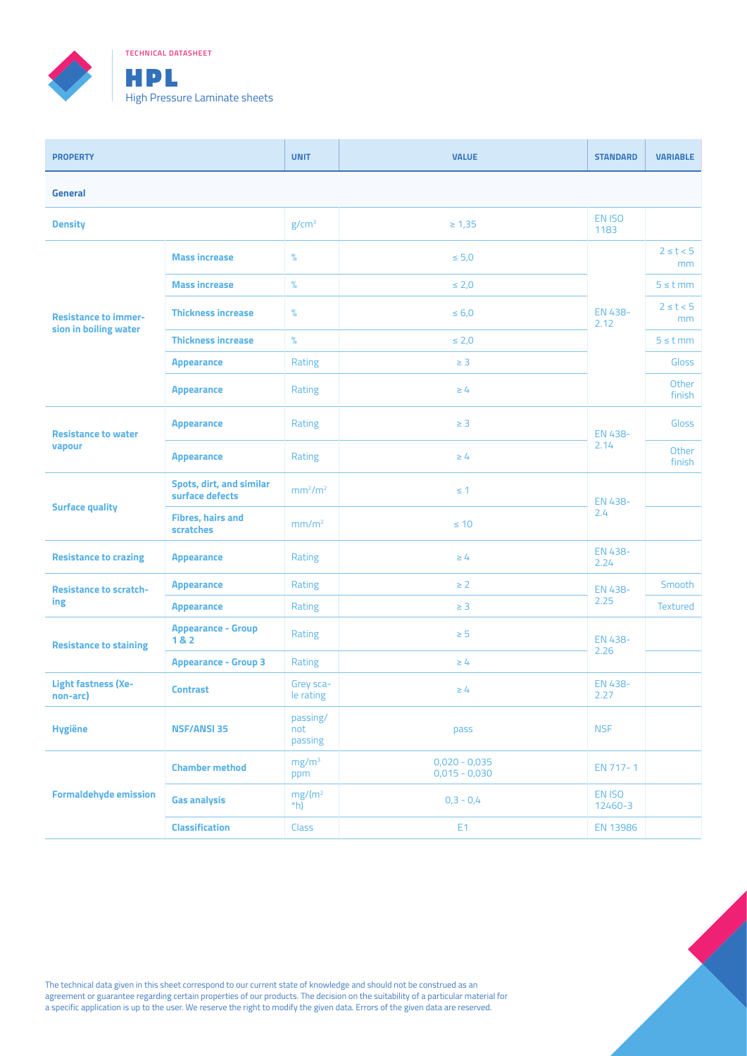

**TECHNICAL DATASHEET**

| <b>PROPERTY</b>                                      |                                                    | <b>UNIT</b>                     | <b>VALUE</b>                       | <b>STANDARD</b>   | <b>VARIABLE</b>      |  |
|------------------------------------------------------|----------------------------------------------------|---------------------------------|------------------------------------|-------------------|----------------------|--|
| <b>General</b>                                       |                                                    |                                 |                                    |                   |                      |  |
| <b>Density</b>                                       |                                                    | g/cm <sup>3</sup>               | $\geq 1,35$                        | EN ISO<br>1183    |                      |  |
|                                                      | <b>Mass increase</b>                               | $\%$                            | $\leq 5.0$                         |                   | $2 \leq t < 5$<br>mm |  |
|                                                      | <b>Mass increase</b>                               | $\%$                            | $\leq 2.0$                         |                   | $5 \leq t$ mm        |  |
| <b>Resistance to immer-</b><br>sion in boiling water | <b>Thickness increase</b>                          | $\%$                            | $\leq 6,0$                         | EN 438-<br>2.12   | $2 \leq t < 5$<br>mm |  |
|                                                      | <b>Thickness increase</b>                          | $\%$                            | $\leq 2,0$                         |                   | $5 \leq t$ mm        |  |
|                                                      | <b>Appearance</b>                                  | Rating                          | $\geq$ 3                           |                   | <b>Gloss</b>         |  |
|                                                      | <b>Appearance</b>                                  | Rating                          | $\geq 4$                           |                   | Other<br>finish      |  |
| <b>Resistance to water</b>                           | <b>Appearance</b>                                  | Rating                          | $\geq$ 3                           | EN 438-<br>2.14   | <b>Gloss</b>         |  |
| vapour                                               | <b>Appearance</b>                                  | Rating                          | $\geq 4$                           |                   | Other<br>finish      |  |
|                                                      | <b>Spots, dirt, and similar</b><br>surface defects | mm <sup>2</sup> /m <sup>2</sup> | $\leq$ 1                           | EN 438-<br>2.4    |                      |  |
| <b>Surface quality</b>                               | <b>Fibres, hairs and</b><br>scratches              | mm/m <sup>2</sup>               | $\leq 10$                          |                   |                      |  |
| <b>Resistance to crazing</b>                         | <b>Appearance</b>                                  | Rating                          | $\geq 4$                           | EN 438-<br>2.24   |                      |  |
| <b>Resistance to scratch-</b>                        | <b>Appearance</b>                                  | Rating                          | $\geq 2$                           | EN 438-<br>2.25   | Smooth               |  |
| ing                                                  | <b>Appearance</b>                                  | Rating                          | $\geq$ 3                           |                   | <b>Textured</b>      |  |
| <b>Resistance to staining</b>                        | <b>Appearance - Group</b><br>182                   | Rating                          | $\geq 5$                           | EN 438-<br>2.26   |                      |  |
|                                                      | <b>Appearance - Group 3</b>                        | Rating                          | $\geq 4$                           |                   |                      |  |
| <b>Light fastness (Xe-</b><br>non-arc)               | <b>Contrast</b>                                    | Grey sca-<br>le rating          | $\geq 4$                           | EN 438-<br>2.27   |                      |  |
| <b>Hygiëne</b>                                       | <b>NSF/ANSI 35</b>                                 | passing/<br>not<br>passing      | pass                               | <b>NSF</b>        |                      |  |
| <b>Formaldehyde emission</b>                         | <b>Chamber method</b>                              | mg/m <sup>3</sup><br>ppm        | $0,020 - 0,035$<br>$0,015 - 0,030$ | EN 717-1          |                      |  |
|                                                      | <b>Gas analysis</b>                                | $mg/(m^2)$<br>$*$ h)            | $0,3 - 0,4$                        | EN ISO<br>12460-3 |                      |  |
|                                                      | <b>Classification</b>                              | <b>Class</b>                    | E1                                 | <b>EN 13986</b>   |                      |  |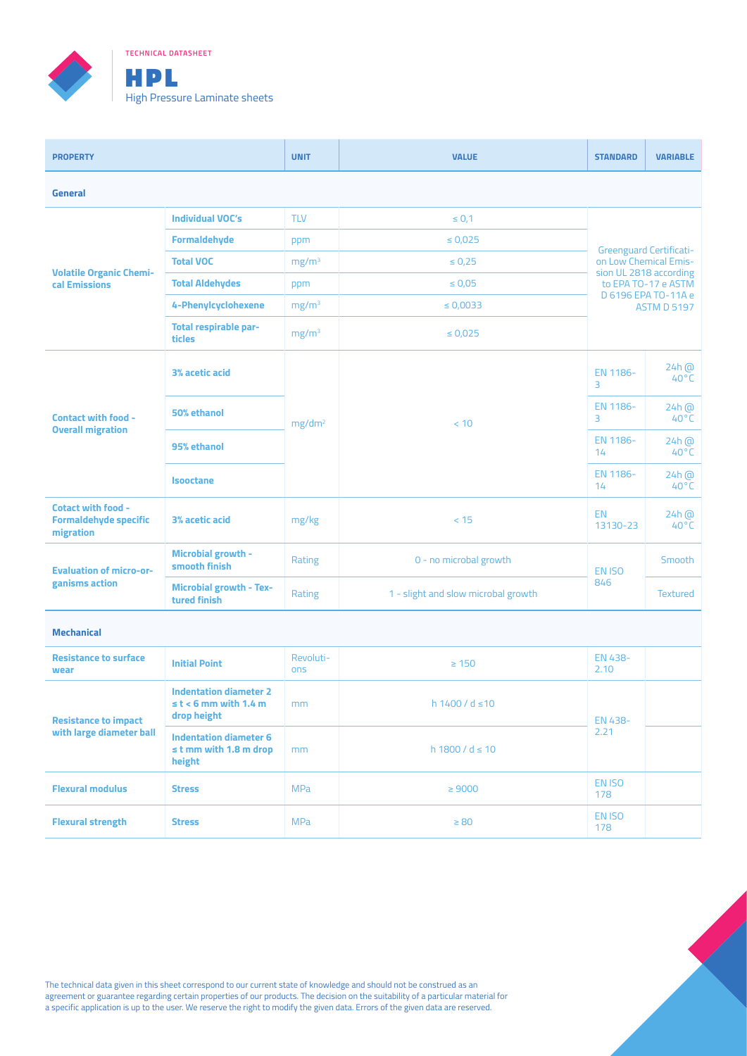

**TECHNICAL DATASHEET**

| <b>PROPERTY</b>                                                        |                                                | <b>UNIT</b>        | <b>VALUE</b>                        | <b>STANDARD</b>        | <b>VARIABLE</b>                           |  |
|------------------------------------------------------------------------|------------------------------------------------|--------------------|-------------------------------------|------------------------|-------------------------------------------|--|
| <b>General</b>                                                         |                                                |                    |                                     |                        |                                           |  |
|                                                                        | <b>Individual VOC's</b>                        | <b>TLV</b>         | $\leq 0.1$                          |                        |                                           |  |
|                                                                        | Formaldehyde                                   | ppm                | $\leq 0.025$                        |                        | <b>Greenguard Certificati-</b>            |  |
|                                                                        | <b>Total VOC</b>                               | mg/m <sup>3</sup>  | $\leq 0.25$                         | on Low Chemical Emis-  |                                           |  |
| <b>Volatile Organic Chemi-</b><br>cal Emissions                        | <b>Total Aldehydes</b>                         | ppm                | $\leq 0.05$                         | sion UL 2818 according | to EPA TO-17 e ASTM                       |  |
|                                                                        | 4-Phenylcyclohexene                            | mg/m <sup>3</sup>  | $\leq 0.0033$                       |                        | D 6196 EPA TO-11A e<br><b>ASTM D 5197</b> |  |
|                                                                        | Total respirable par-<br>ticles                | mg/m <sup>3</sup>  | $\leq 0.025$                        |                        |                                           |  |
| <b>Contact with food -</b><br><b>Overall migration</b>                 | 3% acetic acid                                 | mg/dm <sup>2</sup> | < 10                                | EN 1186-<br>3          | $24h$ $\omega$<br>$40^{\circ}$ C          |  |
|                                                                        | 50% ethanol                                    |                    |                                     | EN 1186-<br>3          | $24h$ @<br>$40^{\circ}$ C                 |  |
|                                                                        | 95% ethanol                                    |                    |                                     | EN 1186-<br>14         | $24h$ $\omega$<br>$40^{\circ}$ C          |  |
|                                                                        | <b>Isooctane</b>                               |                    |                                     | EN 1186-<br>14         | $24h$ $\omega$<br>$40^{\circ}$ C          |  |
| <b>Cotact with food -</b><br><b>Formaldehyde specific</b><br>migration | 3% acetic acid                                 | mg/kg              | < 15                                | <b>EN</b><br>13130-23  | $24h$ $\omega$<br>$40^{\circ}$ C          |  |
| <b>Evaluation of micro-or-</b><br>ganisms action                       | Microbial growth -<br>smooth finish            | Rating             | 0 - no microbal growth              | EN ISO<br>846          | Smooth                                    |  |
|                                                                        | <b>Microbial growth - Tex-</b><br>tured finish | Rating             | 1 - slight and slow microbal growth |                        | <b>Textured</b>                           |  |

## **Mechanical**

| <b>Resistance to surface</b><br>wear                    | <b>Initial Point</b>                                                   | Revoluti-<br>ons | $\geq 150$             | EN 438-<br>2.10 |  |
|---------------------------------------------------------|------------------------------------------------------------------------|------------------|------------------------|-----------------|--|
| <b>Resistance to impact</b><br>with large diameter ball | <b>Indentation diameter 2</b><br>$st$ < 6 mm with 1.4 m<br>drop height | mm               | $h1400/d \le 10$       | EN 438-<br>2.21 |  |
|                                                         | Indentation diameter 6<br>$\leq$ t mm with 1.8 m drop<br>height        | mm               | $h$ 1800 / d $\leq$ 10 |                 |  |
| <b>Flexural modulus</b>                                 | <b>Stress</b>                                                          | <b>MPa</b>       | $\geq 9000$            | EN ISO<br>178   |  |
| <b>Flexural strength</b>                                | <b>Stress</b>                                                          | <b>MPa</b>       | $\geq 80$              | EN ISO<br>178   |  |

The technical data given in this sheet correspond to our current state of knowledge and should not be construed as an agreement or guarantee regarding certain properties of our products. The decision on the suitability of a particular material for a specific application is up to the user. We reserve the right to modify the given data. Errors of the given data are reserved.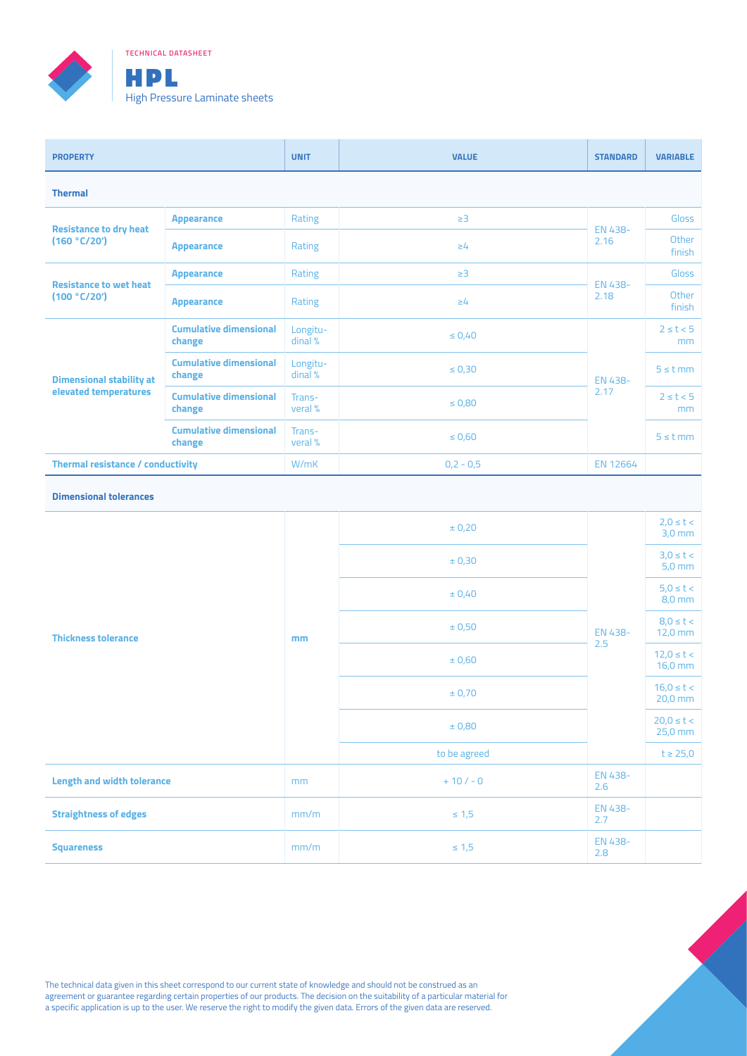

**TECHNICAL DATASHEET**

| <b>PROPERTY</b>                                          |                                         | <b>UNIT</b>         | <b>VALUE</b> | <b>STANDARD</b> | <b>VARIABLE</b>                 |  |  |
|----------------------------------------------------------|-----------------------------------------|---------------------|--------------|-----------------|---------------------------------|--|--|
| <b>Thermal</b>                                           |                                         |                     |              |                 |                                 |  |  |
|                                                          | <b>Appearance</b>                       | Rating              | $\geq$ 3     | EN 438-<br>2.16 | Gloss                           |  |  |
| <b>Resistance to dry heat</b><br>(160 °C/20')            | <b>Appearance</b>                       | Rating              | $\geq 4$     |                 | Other<br>finish                 |  |  |
|                                                          | <b>Appearance</b>                       | Rating              | $\geq$ 3     | EN 438-<br>2.18 | Gloss                           |  |  |
| <b>Resistance to wet heat</b><br>(100 °C/20')            | <b>Appearance</b>                       | Rating              | $\geq 4$     |                 | Other<br>finish                 |  |  |
| <b>Dimensional stability at</b><br>elevated temperatures | <b>Cumulative dimensional</b><br>change | Longitu-<br>dinal % | $\leq 0.40$  | EN 438-<br>2.17 | $2 \leq t < 5$<br><sub>mm</sub> |  |  |
|                                                          | <b>Cumulative dimensional</b><br>change | Longitu-<br>dinal % | $\leq 0.30$  |                 | $5 \leq t$ mm                   |  |  |
|                                                          | <b>Cumulative dimensional</b><br>change | Trans-<br>veral %   | $\leq 0.80$  |                 | $2 \leq t < 5$<br>mm            |  |  |
|                                                          | <b>Cumulative dimensional</b><br>change | Trans-<br>veral %   | $\leq 0,60$  |                 | $5 \leq t$ mm                   |  |  |
| <b>Thermal resistance / conductivity</b>                 |                                         | W/mK                | $0,2 - 0,5$  | <b>EN 12664</b> |                                 |  |  |

## **Dimensional tolerances**

|                                   |      | $\pm$ 0,20   |                | $2,0 \leq t <$<br>$3,0$ mm  |
|-----------------------------------|------|--------------|----------------|-----------------------------|
| <b>Thickness tolerance</b>        | mm   | ± 0,30       | EN 438-<br>2.5 | $3,0 \leq t <$<br>$5,0$ mm  |
|                                   |      | ± 0,40       |                | $5,0 \leq t <$<br>$8,0$ mm  |
|                                   |      | ± 0,50       |                | $8,0 \leq t <$<br>12,0 mm   |
|                                   |      | $\pm$ 0,60   |                | $12,0 \le t <$<br>$16,0$ mm |
|                                   |      | ± 0,70       |                | $16,0 \le t <$<br>20,0 mm   |
|                                   |      | ± 0,80       |                | $20,0 \leq t <$<br>25,0 mm  |
|                                   |      | to be agreed |                | $t \geq 25,0$               |
| <b>Length and width tolerance</b> | mm   | $+10/-0$     | EN 438-<br>2.6 |                             |
| <b>Straightness of edges</b>      | mm/m | $\leq 1,5$   | EN 438-<br>2.7 |                             |
| <b>Squareness</b>                 | mm/m | $\leq 1,5$   | EN 438-<br>2.8 |                             |

The technical data given in this sheet correspond to our current state of knowledge and should not be construed as an agreement or guarantee regarding certain properties of our products. The decision on the suitability of a particular material for a specific application is up to the user. We reserve the right to modify the given data. Errors of the given data are reserved.